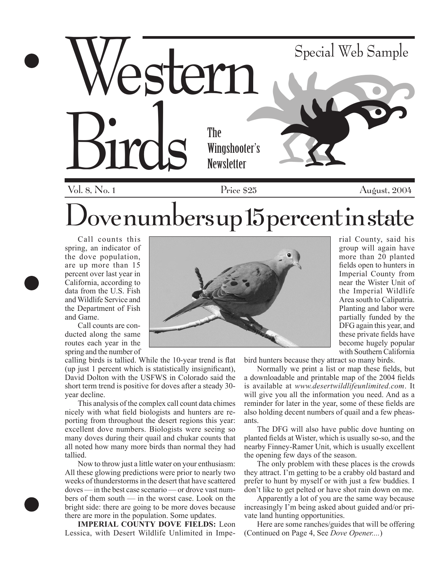

ove numbers up  $15$  percent in state

Call counts this spring, an indicator of the dove population, are up more than 15 percent over last year in California, according to data from the U.S. Fish and Wildlife Service and the Department of Fish and Game.

Call counts are conducted along the same routes each year in the spring and the number of

calling birds is tallied. While the 10-year trend is flat (up just 1 percent which is statistically insignificant), David Dolton with the USFWS in Colorado said the short term trend is positive for doves after a steady 30 year decline.

This analysis of the complex call count data chimes nicely with what field biologists and hunters are reporting from throughout the desert regions this year: excellent dove numbers. Biologists were seeing so many doves during their quail and chukar counts that all noted how many more birds than normal they had tallied.

Now to throw just a little water on your enthusiasm: All these glowing predictions were prior to nearly two weeks of thunderstorms in the desert that have scattered doves — in the best case scenario — or drove vast numbers of them south — in the worst case. Look on the bright side: there are going to be more doves because there are more in the population. Some updates.

**IMPERIAL COUNTY DOVE FIELDS:** Leon Lessica, with Desert Wildlife Unlimited in Impe-

rial County, said his group will again have more than 20 planted fields open to hunters in Imperial County from near the Wister Unit of the Imperial Wildlife Area south to Calipatria. Planting and labor were partially funded by the DFG again this year, and these private fields have become hugely popular with Southern California

bird hunters because they attract so many birds.

Normally we print a list or map these fields, but a downloadable and printable map of the 2004 fields is available at *www.desertwildlifeunlimited.com*. It will give you all the information you need. And as a reminder for later in the year, some of these fields are also holding decent numbers of quail and a few pheasants.

The DFG will also have public dove hunting on planted fields at Wister, which is usually so-so, and the nearby Finney-Ramer Unit, which is usually excellent the opening few days of the season.

The only problem with these places is the crowds they attract. I'm getting to be a crabby old bastard and prefer to hunt by myself or with just a few buddies. I don't like to get pelted or have shot rain down on me.

Apparently a lot of you are the same way because increasingly I'm being asked about guided and/or private land hunting opportunities.

Here are some ranches/guides that will be offering (Continued on Page 4, See *Dove Opener....*)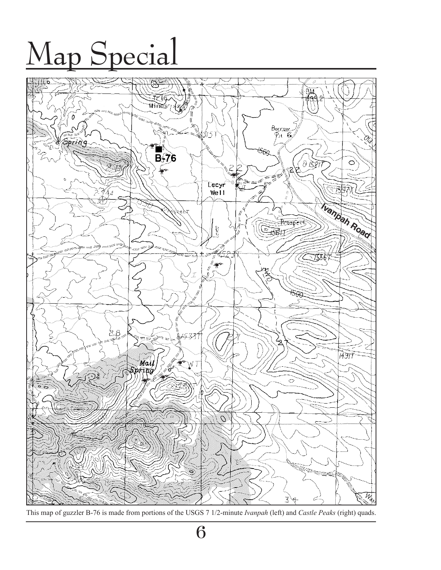## Map Special



This map of guzzler B-76 is made from portions of the USGS 7 1/2-minute *Ivanpah* (left) and *Castle Peaks* (right) quads.